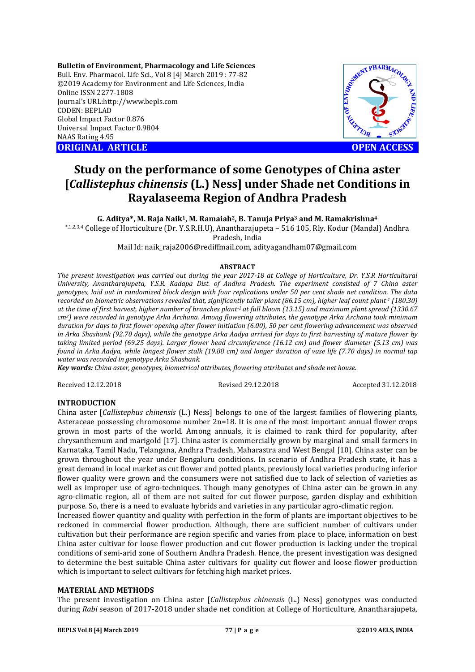**Bulletin of Environment, Pharmacology and Life Sciences** Bull. Env. Pharmacol. Life Sci., Vol 8 [4] March 2019 : 77-82 ©2019 Academy for Environment and Life Sciences, India Online ISSN 2277-1808 Journal's URL:http://www.bepls.com CODEN: BEPLAD Global Impact Factor 0.876 Universal Impact Factor 0.9804 NAAS Rating 4.95 **ORIGINAL ARTICLE OPEN ACCESS** 



# **Study on the performance of some Genotypes of China aster [***Callistephus chinensis* **(L.) Ness] under Shade net Conditions in Rayalaseema Region of Andhra Pradesh**

**G. Aditya\*, M. Raja Naik1, M. Ramaiah2, B. Tanuja Priya3 and M. Ramakrishna4**

\*,1,2,3,4 College of Horticulture (Dr. Y.S.R.H.U), Anantharajupeta – 516 105, Rly. Kodur (Mandal) Andhra

Pradesh, India

Mail Id: naik\_raja2006@rediffmail.com, adityagandham07@gmail.com

## **ABSTRACT**

*The present investigation was carried out during the year 2017-18 at College of Horticulture, Dr. Y.S.R Horticultural University, Anantharajupeta, Y.S.R. Kadapa Dist. of Andhra Pradesh. The experiment consisted of 7 China aster genotypes, laid out in randomized block design with four replications under 50 per cent shade net condition. The data recorded on biometric observations revealed that, significantly taller plant (86.15 cm), higher leaf count plant-1 (180.30) at the time of first harvest, higher number of branches plant-1 at full bloom (13.15) and maximum plant spread (1330.67 cm2) were recorded in genotype Arka Archana. Among flowering attributes, the genotype Arka Archana took minimum duration for days to first flower opening after flower initiation (6.00), 50 per cent flowering advancement was observed in Arka Shashank (92.70 days), while the genotype Arka Aadya arrived for days to first harvesting of mature flower by taking limited period (69.25 days). Larger flower head circumference (16.12 cm) and flower diameter (5.13 cm) was found in Arka Aadya, while longest flower stalk (19.88 cm) and longer duration of vase life (7.70 days) in normal tap water was recorded in genotype Arka Shashank.*

*Key words: China aster, genotypes, biometrical attributes, flowering attributes and shade net house.*

Received 12.12.2018 Revised 29.12.2018 Accepted 31.12.2018

## **INTRODUCTION**

China aster [*Callistephus chinensis* (L.) Ness] belongs to one of the largest families of flowering plants, Asteraceae possessing chromosome number 2n=18. It is one of the most important annual flower crops grown in most parts of the world. Among annuals, it is claimed to rank third for popularity, after chrysanthemum and marigold [17]. China aster is commercially grown by marginal and small farmers in Karnataka, Tamil Nadu, Telangana, Andhra Pradesh, Maharastra and West Bengal [10]. China aster can be grown throughout the year under Bengaluru conditions. In scenario of Andhra Pradesh state, it has a great demand in local market as cut flower and potted plants, previously local varieties producing inferior flower quality were grown and the consumers were not satisfied due to lack of selection of varieties as well as improper use of agro-techniques. Though many genotypes of China aster can be grown in any agro-climatic region, all of them are not suited for cut flower purpose, garden display and exhibition purpose. So, there is a need to evaluate hybrids and varieties in any particular agro-climatic region.

Increased flower quantity and quality with perfection in the form of plants are important objectives to be reckoned in commercial flower production. Although, there are sufficient number of cultivars under cultivation but their performance are region specific and varies from place to place, information on best China aster cultivar for loose flower production and cut flower production is lacking under the tropical conditions of semi-arid zone of Southern Andhra Pradesh. Hence, the present investigation was designed to determine the best suitable China aster cultivars for quality cut flower and loose flower production which is important to select cultivars for fetching high market prices.

## **MATERIAL AND METHODS**

The present investigation on China aster [*Callistephus chinensis* (L.) Ness] genotypes was conducted during *Rabi* season of 2017-2018 under shade net condition at College of Horticulture, Anantharajupeta,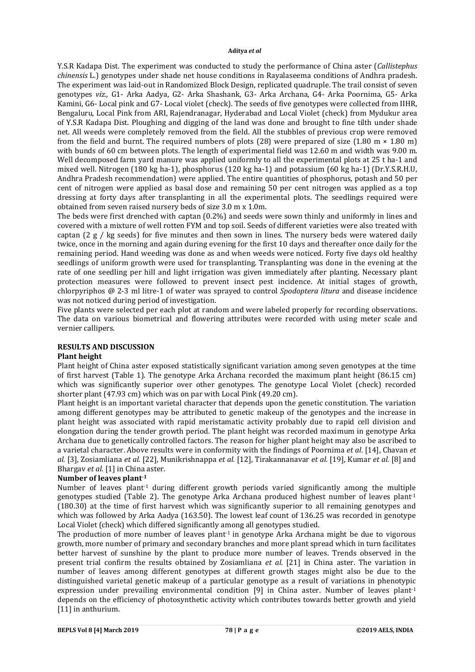Y.S.R Kadapa Dist. The experiment was conducted to study the performance of China aster (*Callistephus chinensis* L.) genotypes under shade net house conditions in Rayalaseema conditions of Andhra pradesh. The experiment was laid-out in Randomized Block Design, replicated quadruple. The trail consist of seven genotypes *viz.,* G1- Arka Aadya, G2- Arka Shashank, G3- Arka Archana, G4- Arka Poornima, G5- Arka Kamini, G6- Local pink and G7- Local violet (check). The seeds of five genotypes were collected from IIHR, Bengaluru, Local Pink from ARI, Rajendranagar, Hyderabad and Local Violet (check) from Mydukur area of Y.S.R Kadapa Dist. Ploughing and digging of the land was done and brought to fine tilth under shade net. All weeds were completely removed from the field. All the stubbles of previous crop were removed from the field and burnt. The required numbers of plots (28) were prepared of size (1.80 m  $\times$  1.80 m) with bunds of 60 cm between plots. The length of experimental field was 12.60 m and width was 9.00 m. Well decomposed farm yard manure was applied uniformly to all the experimental plots at 25 t ha-1 and mixed well. Nitrogen (180 kg ha-1), phosphorus (120 kg ha-1) and potassium (60 kg ha-1) (Dr.Y.S.R.H.U, Andhra Pradesh recommendation) were applied. The entire quantities of phosphorus, potash and 50 per cent of nitrogen were applied as basal dose and remaining 50 per cent nitrogen was applied as a top dressing at forty days after transplanting in all the experimental plots. The seedlings required were obtained from seven raised nursery beds of size 3.0 m x 1.0m.

The beds were first drenched with captan (0.2%) and seeds were sown thinly and uniformly in lines and covered with a mixture of well rotten FYM and top soil. Seeds of different varieties were also treated with captan (2 g / kg seeds) for five minutes and then sown in lines. The nursery beds were watered daily twice, once in the morning and again during evening for the first 10 days and thereafter once daily for the remaining period. Hand weeding was done as and when weeds were noticed. Forty five days old healthy seedlings of uniform growth were used for transplanting. Transplanting was done in the evening at the rate of one seedling per hill and light irrigation was given immediately after planting. Necessary plant protection measures were followed to prevent insect pest incidence. At initial stages of growth, chlorpyriphos @ 2-3 ml litre-1 of water was sprayed to control *Spodoptera litura* and disease incidence was not noticed during period of investigation.

Five plants were selected per each plot at random and were labeled properly for recording observations. The data on various biometrical and flowering attributes were recorded with using meter scale and vernier callipers.

## **RESULTS AND DISCUSSION**

## **Plant height**

Plant height of China aster exposed statistically significant variation among seven genotypes at the time of first harvest (Table 1). The genotype Arka Archana recorded the maximum plant height (86.15 cm) which was significantly superior over other genotypes. The genotype Local Violet (check) recorded shorter plant (47.93 cm) which was on par with Local Pink (49.20 cm).

Plant height is an important varietal character that depends upon the genetic constitution. The variation among different genotypes may be attributed to genetic makeup of the genotypes and the increase in plant height was associated with rapid meristamatic activity probably due to rapid cell division and elongation during the tender growth period. The plant height was recorded maximum in genotype Arka Archana due to genetically controlled factors. The reason for higher plant height may also be ascribed to a varietal character. Above results were in conformity with the findings of Poornima *et al*. [14], Chavan *et al.* [3], Zosiamliana *et al.* [22], Munikrishnappa *et al.* [12], Tirakannanavar *et al.* [19], Kumar *et al.* [8] and Bhargav *et al.* [1] in China aster.

## **Number of leaves plant-1**

Number of leaves plant<sup>1</sup> during different growth periods varied significantly among the multiple genotypes studied (Table 2). The genotype Arka Archana produced highest number of leaves plant<sup>1</sup> (180.30) at the time of first harvest which was significantly superior to all remaining genotypes and which was followed by Arka Aadya (163.50). The lowest leaf count of 136.25 was recorded in genotype Local Violet (check) which differed significantly among all genotypes studied.

The production of more number of leaves plant<sup>-1</sup> in genotype Arka Archana might be due to vigorous growth, more number of primary and secondary branches and more plant spread which in turn facilitates better harvest of sunshine by the plant to produce more number of leaves. Trends observed in the present trial confirm the results obtained by Zosiamliana *et al.* [21] in China aster. The variation in number of leaves among different genotypes at different growth stages might also be due to the distinguished varietal genetic makeup of a particular genotype as a result of variations in phenotypic expression under prevailing environmental condition [9] in China aster. Number of leaves plant<sup>1</sup> depends on the efficiency of photosynthetic activity which contributes towards better growth and yield [11] in anthurium.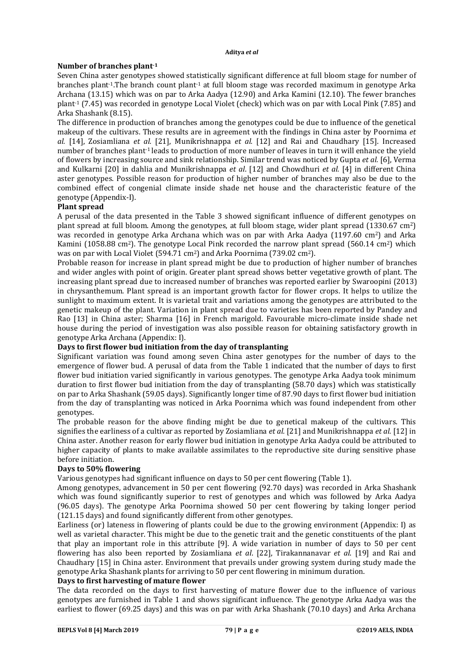## **Number of branches plant-1**

Seven China aster genotypes showed statistically significant difference at full bloom stage for number of branches plant-1.The branch count plant-1 at full bloom stage was recorded maximum in genotype Arka Archana (13.15) which was on par to Arka Aadya (12.90) and Arka Kamini (12.10). The fewer branches plant<sup>1</sup> (7.45) was recorded in genotype Local Violet (check) which was on par with Local Pink (7.85) and Arka Shashank (8.15).

The difference in production of branches among the genotypes could be due to influence of the genetical makeup of the cultivars. These results are in agreement with the findings in China aster by Poornima *et al.* [14], Zosiamliana *et al.* [21], Munikrishnappa *et al.* [12] and Rai and Chaudhary [15]. Increased number of branches plant-1 leads to production of more number of leaves in turn it will enhance the yield of flowers by increasing source and sink relationship. Similar trend was noticed by Gupta *et al.* [6], Verma and Kulkarni [20] in dahlia and Munikrishnappa *et al*. [12] and Chowdhuri *et al.* [4] in different China aster genotypes. Possible reason for production of higher number of branches may also be due to the combined effect of congenial climate inside shade net house and the characteristic feature of the genotype (Appendix-I).

# **Plant spread**

A perusal of the data presented in the Table 3 showed significant influence of different genotypes on plant spread at full bloom. Among the genotypes, at full bloom stage, wider plant spread (1330.67 cm2) was recorded in genotype Arka Archana which was on par with Arka Aadya (1197.60 cm2) and Arka Kamini (1058.88 cm<sup>2</sup>). The genotype Local Pink recorded the narrow plant spread (560.14 cm<sup>2</sup>) which was on par with Local Violet (594.71 cm2) and Arka Poornima (739.02 cm2).

Probable reason for increase in plant spread might be due to production of higher number of branches and wider angles with point of origin. Greater plant spread shows better vegetative growth of plant. The increasing plant spread due to increased number of branches was reported earlier by Swaroopini (2013) in chrysanthemum. Plant spread is an important growth factor for flower crops. It helps to utilize the sunlight to maximum extent. It is varietal trait and variations among the genotypes are attributed to the genetic makeup of the plant. Variation in plant spread due to varieties has been reported by Pandey and Rao [13] in China aster; Sharma [16] in French marigold. Favourable micro-climate inside shade net house during the period of investigation was also possible reason for obtaining satisfactory growth in genotype Arka Archana (Appendix: I).

## **Days to first flower bud initiation from the day of transplanting**

Significant variation was found among seven China aster genotypes for the number of days to the emergence of flower bud. A perusal of data from the Table 1 indicated that the number of days to first flower bud initiation varied significantly in various genotypes. The genotype Arka Aadya took minimum duration to first flower bud initiation from the day of transplanting (58.70 days) which was statistically on par to Arka Shashank (59.05 days). Significantly longer time of 87.90 days to first flower bud initiation from the day of transplanting was noticed in Arka Poornima which was found independent from other genotypes.

The probable reason for the above finding might be due to genetical makeup of the cultivars. This signifies the earliness of a cultivar as reported by Zosiamliana *et al.* [21] and Munikrishnappa *et al.* [12] in China aster. Another reason for early flower bud initiation in genotype Arka Aadya could be attributed to higher capacity of plants to make available assimilates to the reproductive site during sensitive phase before initiation.

## **Days to 50% flowering**

Various genotypes had significant influence on days to 50 per cent flowering (Table 1).

Among genotypes, advancement in 50 per cent flowering (92.70 days) was recorded in Arka Shashank which was found significantly superior to rest of genotypes and which was followed by Arka Aadya (96.05 days). The genotype Arka Poornima showed 50 per cent flowering by taking longer period (121.15 days) and found significantly different from other genotypes.

Earliness (or) lateness in flowering of plants could be due to the growing environment (Appendix: I) as well as varietal character. This might be due to the genetic trait and the genetic constituents of the plant that play an important role in this attribute [9]. A wide variation in number of days to 50 per cent flowering has also been reported by Zosiamliana *et al*. [22], Tirakannanavar *et al*. [19] and Rai and Chaudhary [15] in China aster. Environment that prevails under growing system during study made the genotype Arka Shashank plants for arriving to 50 per cent flowering in minimum duration.

## **Days to first harvesting of mature flower**

The data recorded on the days to first harvesting of mature flower due to the influence of various genotypes are furnished in Table 1 and shows significant influence. The genotype Arka Aadya was the earliest to flower (69.25 days) and this was on par with Arka Shashank (70.10 days) and Arka Archana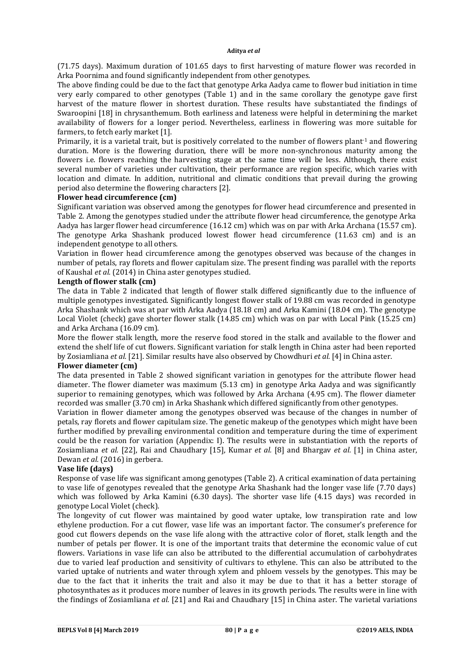(71.75 days). Maximum duration of 101.65 days to first harvesting of mature flower was recorded in Arka Poornima and found significantly independent from other genotypes.

The above finding could be due to the fact that genotype Arka Aadya came to flower bud initiation in time very early compared to other genotypes (Table 1) and in the same corollary the genotype gave first harvest of the mature flower in shortest duration. These results have substantiated the findings of Swaroopini [18] in chrysanthemum. Both earliness and lateness were helpful in determining the market availability of flowers for a longer period. Nevertheless, earliness in flowering was more suitable for farmers, to fetch early market [1].

Primarily, it is a varietal trait, but is positively correlated to the number of flowers plant<sup>1</sup> and flowering duration. More is the flowering duration, there will be more non-synchronous maturity among the flowers i.e. flowers reaching the harvesting stage at the same time will be less. Although, there exist several number of varieties under cultivation, their performance are region specific, which varies with location and climate. In addition, nutritional and climatic conditions that prevail during the growing period also determine the flowering characters [2].

## **Flower head circumference (cm)**

Significant variation was observed among the genotypes for flower head circumference and presented in Table 2. Among the genotypes studied under the attribute flower head circumference, the genotype Arka Aadya has larger flower head circumference (16.12 cm) which was on par with Arka Archana (15.57 cm). The genotype Arka Shashank produced lowest flower head circumference (11.63 cm) and is an independent genotype to all others.

Variation in flower head circumference among the genotypes observed was because of the changes in number of petals, ray florets and flower capitulam size. The present finding was parallel with the reports of Kaushal *et al.* (2014) in China aster genotypes studied.

## **Length of flower stalk (cm)**

The data in Table 2 indicated that length of flower stalk differed significantly due to the influence of multiple genotypes investigated. Significantly longest flower stalk of 19.88 cm was recorded in genotype Arka Shashank which was at par with Arka Aadya (18.18 cm) and Arka Kamini (18.04 cm). The genotype Local Violet (check) gave shorter flower stalk (14.85 cm) which was on par with Local Pink (15.25 cm) and Arka Archana (16.09 cm).

More the flower stalk length, more the reserve food stored in the stalk and available to the flower and extend the shelf life of cut flowers. Significant variation for stalk length in China aster had been reported by Zosiamliana *et al.* [21]. Similar results have also observed by Chowdhuri *et al.* [4] in China aster.

## **Flower diameter (cm)**

The data presented in Table 2 showed significant variation in genotypes for the attribute flower head diameter. The flower diameter was maximum (5.13 cm) in genotype Arka Aadya and was significantly superior to remaining genotypes, which was followed by Arka Archana (4.95 cm). The flower diameter recorded was smaller (3.70 cm) in Arka Shashank which differed significantly from other genotypes.

Variation in flower diameter among the genotypes observed was because of the changes in number of petals, ray florets and flower capitulam size. The genetic makeup of the genotypes which might have been further modified by prevailing environmental condition and temperature during the time of experiment could be the reason for variation (Appendix: I). The results were in substantiation with the reports of Zosiamliana *et al.* [22], Rai and Chaudhary [15], Kumar *et al.* [8] and Bhargav *et al.* [1] in China aster, Dewan *et al.* (2016) in gerbera.

## **Vase life (days)**

Response of vase life was significant among genotypes (Table 2). A critical examination of data pertaining to vase life of genotypes revealed that the genotype Arka Shashank had the longer vase life (7.70 days) which was followed by Arka Kamini (6.30 days). The shorter vase life (4.15 days) was recorded in genotype Local Violet (check).

The longevity of cut flower was maintained by good water uptake, low transpiration rate and low ethylene production. For a cut flower, vase life was an important factor. The consumer's preference for good cut flowers depends on the vase life along with the attractive color of floret, stalk length and the number of petals per flower. It is one of the important traits that determine the economic value of cut flowers. Variations in vase life can also be attributed to the differential accumulation of carbohydrates due to varied leaf production and sensitivity of cultivars to ethylene. This can also be attributed to the varied uptake of nutrients and water through xylem and phloem vessels by the genotypes. This may be due to the fact that it inherits the trait and also it may be due to that it has a better storage of photosynthates as it produces more number of leaves in its growth periods. The results were in line with the findings of Zosiamliana *et al.* [21] and Rai and Chaudhary [15] in China aster. The varietal variations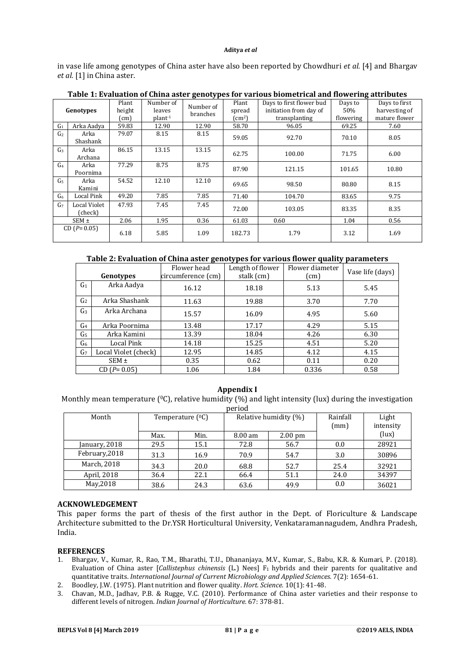in vase life among genotypes of China aster have also been reported by Chowdhuri *et al.* [4] and Bhargav et al. [1] in China aster.

| Genotypes      |                                | Plant<br>height<br>$\text{cm}$ | Number of<br>leaves<br>$plant-1$ | Number of<br>branches | Plant<br>spread<br>$\rm (cm^2)$ | Days to first flower bud<br>initiation from day of<br>transplanting | Days to<br>50%<br>flowering | Days to first<br>harvesting of<br>mature flower |
|----------------|--------------------------------|--------------------------------|----------------------------------|-----------------------|---------------------------------|---------------------------------------------------------------------|-----------------------------|-------------------------------------------------|
| G <sub>1</sub> | Arka Aadya                     | 59.83                          | 12.90                            | 12.90                 | 58.70                           | 96.05                                                               | 69.25                       | 7.60                                            |
| G <sub>2</sub> | Arka<br>Shashank               | 79.07                          | 8.15                             | 8.15                  | 59.05                           | 92.70                                                               | 70.10                       | 8.05                                            |
| G <sub>3</sub> | Arka<br>Archana                | 86.15                          | 13.15                            | 13.15                 | 62.75                           | 100.00                                                              | 71.75                       | 6.00                                            |
| G <sub>4</sub> | Arka<br>Poornima               | 77.29                          | 8.75                             | 8.75                  | 87.90                           | 121.15                                                              | 101.65                      | 10.80                                           |
| G <sub>5</sub> | Arka<br>Kamini                 | 54.52                          | 12.10                            | 12.10                 | 69.65                           | 98.50                                                               | 80.80                       | 8.15                                            |
| G <sub>6</sub> | Local Pink                     | 49.20                          | 7.85                             | 7.85                  | 71.40                           | 104.70                                                              | 83.65                       | 9.75                                            |
| G <sub>7</sub> | <b>Local Violet</b><br>(check) | 47.93                          | 7.45                             | 7.45                  | 72.00                           | 103.05                                                              | 83.35                       | 8.35                                            |
| $SEM \pm$      |                                | 2.06                           | 1.95                             | 0.36                  | 61.03                           | 0.60                                                                | 1.04                        | 0.56                                            |
| $CD(P=0.05)$   |                                | 6.18                           | 5.85                             | 1.09                  | 182.73                          | 1.79                                                                | 3.12                        | 1.69                                            |

## **Table 1: Evaluation of China aster genotypes for various biometrical and flowering attributes**

**Table 2: Evaluation of China aster genotypes for various flower quality parameters**

| Genotypes      |                      | Flower head<br>circumference (cm) | Length of flower<br>stalk (cm) | Flower diameter<br>$\text{(cm)}$ | Vase life (days) |  |
|----------------|----------------------|-----------------------------------|--------------------------------|----------------------------------|------------------|--|
| G <sub>1</sub> | Arka Aadya           | 16.12                             | 18.18                          | 5.13                             | 5.45             |  |
| G <sub>2</sub> | Arka Shashank        | 11.63                             | 19.88                          | 3.70                             | 7.70             |  |
| G <sub>3</sub> | Arka Archana         | 15.57                             | 16.09                          | 4.95                             | 5.60             |  |
| G <sub>4</sub> | Arka Poornima        | 13.48                             | 17.17                          | 4.29                             | 5.15             |  |
| G <sub>5</sub> | Arka Kamini          | 13.39                             | 18.04                          | 4.26                             | 6.30             |  |
| G <sub>6</sub> | Local Pink           | 14.18                             | 15.25                          | 4.51                             | 5.20             |  |
| G <sub>7</sub> | Local Violet (check) | 12.95                             | 14.85                          | 4.12                             | 4.15             |  |
| $SEM \pm$      |                      | 0.35                              | 0.62                           | 0.11                             | 0.20             |  |
| $CD(P=0.05)$   |                      | 1.06                              | 1.84                           | 0.336                            | 0.58             |  |

#### **Appendix I**

```
Monthly mean temperature ({}^{0}C), relative humidity (%) and light intensity (lux) during the investigation
```

| period         |                       |      |                       |                   |                  |                    |  |
|----------------|-----------------------|------|-----------------------|-------------------|------------------|--------------------|--|
| Month          | Temperature $(^{0}C)$ |      | Relative humidity (%) |                   | Rainfall<br>(mm) | Light<br>intensity |  |
|                | Max.                  | Min. | $8.00 \text{ am}$     | $2.00 \text{ pm}$ |                  | (lux)              |  |
| January, 2018  | 29.5                  | 15.1 | 72.8                  | 56.7              | 0.0              | 28921              |  |
| February, 2018 | 31.3                  | 16.9 | 70.9                  | 54.7              | 3.0              | 30896              |  |
| March, 2018    | 34.3                  | 20.0 | 68.8                  | 52.7              | 25.4             | 32921              |  |
| April, 2018    | 36.4                  | 22.1 | 66.4                  | 51.1              | 24.0             | 34397              |  |
| May, 2018      | 38.6                  | 24.3 | 63.6                  | 49.9              | 0.0              | 36021              |  |

#### **ACKNOWLEDGEMENT**

This paper forms the part of thesis of the first author in the Dept. of Floriculture & Landscape Architecture submitted to the Dr.YSR Horticultural University, Venkataramannagudem, Andhra Pradesh, India.

## **REFERENCES**

- 1. Bhargav, V., Kumar, R., Rao, T.M., Bharathi, T.U., Dhananjaya, M.V., Kumar, S., Babu, K.R. & Kumari, P. (2018). Evaluation of China aster [*Callistephus chinensis* (L.) Nees] F1 hybrids and their parents for qualitative and quantitative traits. *International Journal of Current Microbiology and Applied Sciences.* 7(2): 1654-61.
- 2. Boodley, J.W. (1975). Plant nutrition and flower quality. *Hort. Science.* 10(1): 41-48.
- 3. Chavan, M.D., Jadhav, P.B. & Rugge, V.C. (2010). Performance of China aster varieties and their response to different levels of nitrogen. *Indian Journal of Horticulture.* 67: 378-81.